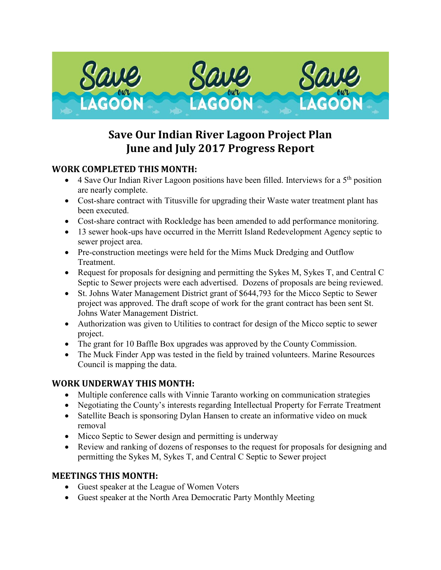

# **Save Our Indian River Lagoon Project Plan June and July 2017 Progress Report**

#### **WORK COMPLETED THIS MONTH:**

- 4 Save Our Indian River Lagoon positions have been filled. Interviews for a  $5<sup>th</sup>$  position are nearly complete.
- Cost-share contract with Titusville for upgrading their Waste water treatment plant has been executed.
- Cost-share contract with Rockledge has been amended to add performance monitoring.
- 13 sewer hook-ups have occurred in the Merritt Island Redevelopment Agency septic to sewer project area.
- Pre-construction meetings were held for the Mims Muck Dredging and Outflow Treatment.
- Request for proposals for designing and permitting the Sykes M, Sykes T, and Central C Septic to Sewer projects were each advertised. Dozens of proposals are being reviewed.
- St. Johns Water Management District grant of \$644,793 for the Micco Septic to Sewer project was approved. The draft scope of work for the grant contract has been sent St. Johns Water Management District.
- Authorization was given to Utilities to contract for design of the Micco septic to sewer project.
- The grant for 10 Baffle Box upgrades was approved by the County Commission.
- The Muck Finder App was tested in the field by trained volunteers. Marine Resources Council is mapping the data.

### **WORK UNDERWAY THIS MONTH:**

- Multiple conference calls with Vinnie Taranto working on communication strategies
- Negotiating the County's interests regarding Intellectual Property for Ferrate Treatment
- Satellite Beach is sponsoring Dylan Hansen to create an informative video on muck removal
- Micco Septic to Sewer design and permitting is underway
- Review and ranking of dozens of responses to the request for proposals for designing and permitting the Sykes M, Sykes T, and Central C Septic to Sewer project

#### **MEETINGS THIS MONTH:**

- Guest speaker at the League of Women Voters
- Guest speaker at the North Area Democratic Party Monthly Meeting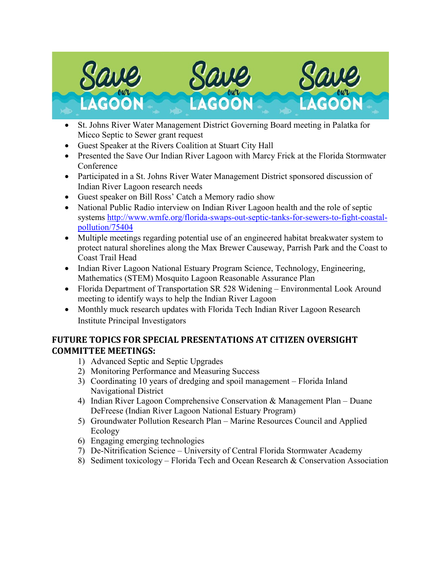

- St. Johns River Water Management District Governing Board meeting in Palatka for Micco Septic to Sewer grant request
- Guest Speaker at the Rivers Coalition at Stuart City Hall
- Presented the Save Our Indian River Lagoon with Marcy Frick at the Florida Stormwater Conference
- Participated in a St. Johns River Water Management District sponsored discussion of Indian River Lagoon research needs
- Guest speaker on Bill Ross' Catch a Memory radio show
- National Public Radio interview on Indian River Lagoon health and the role of septic systems [http://www.wmfe.org/florida-swaps-out-septic-tanks-for-sewers-to-fight-coastal](http://www.wmfe.org/florida-swaps-out-septic-tanks-for-sewers-to-fight-coastal-pollution/75404)[pollution/75404](http://www.wmfe.org/florida-swaps-out-septic-tanks-for-sewers-to-fight-coastal-pollution/75404)
- Multiple meetings regarding potential use of an engineered habitat breakwater system to protect natural shorelines along the Max Brewer Causeway, Parrish Park and the Coast to Coast Trail Head
- Indian River Lagoon National Estuary Program Science, Technology, Engineering, Mathematics (STEM) Mosquito Lagoon Reasonable Assurance Plan
- Florida Department of Transportation SR 528 Widening Environmental Look Around meeting to identify ways to help the Indian River Lagoon
- Monthly muck research updates with Florida Tech Indian River Lagoon Research Institute Principal Investigators

## **FUTURE TOPICS FOR SPECIAL PRESENTATIONS AT CITIZEN OVERSIGHT COMMITTEE MEETINGS:**

- 1) Advanced Septic and Septic Upgrades
- 2) Monitoring Performance and Measuring Success
- 3) Coordinating 10 years of dredging and spoil management Florida Inland Navigational District
- 4) Indian River Lagoon Comprehensive Conservation & Management Plan Duane DeFreese (Indian River Lagoon National Estuary Program)
- 5) Groundwater Pollution Research Plan Marine Resources Council and Applied Ecology
- 6) Engaging emerging technologies
- 7) De-Nitrification Science University of Central Florida Stormwater Academy
- 8) Sediment toxicology Florida Tech and Ocean Research & Conservation Association